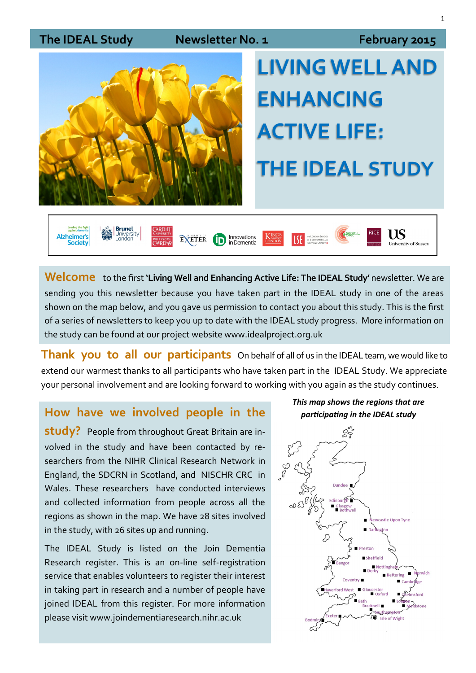

Welcome to the first 'Living Well and Enhancing Active Life: The IDEAL Study' newsletter. We are sending you this newsletter because you have taken part in the IDEAL study in one of the areas shown on the map below, and you gave us permission to contact you about this study. This is the first of a series of newsletters to keep you up to date with the IDEAL study progress. More information on the study can be found at our project website www.idealproject.org.uk

**Thank you to all our participants** On behalf of all of us in the IDEAL team, we would like to extend our warmest thanks to all participants who have taken part in the IDEAL Study. We appreciate your personal involvement and are looking forward to working with you again as the study continues.

#### **How have we involved people in the** *participating in the IDEAL study*

**study?** People from throughout Great Britain are involved in the study and have been contacted by researchers from the NIHR Clinical Research Network in England, the SDCRN in Scotland, and NISCHR CRC in Wales. These researchers have conducted interviews and collected information from people across all the regions as shown in the map. We have 28 sites involved in the study, with 26 sites up and running.

The IDEAL Study is listed on the Join Dementia Research register. This is an on-line self-registration service that enables volunteers to register their interest in taking part in research and a number of people have joined IDEAL from this register. For more information please visit www.joindementiaresearch.nihr.ac.uk



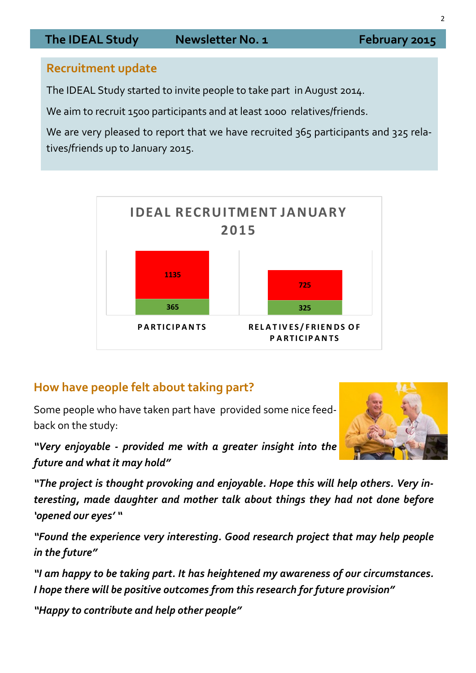## **Recruitment update**

The IDEAL Study started to invite people to take part in August 2014.

We aim to recruit 1500 participants and at least 1000 relatives/friends.

We are very pleased to report that we have recruited 365 participants and 325 relatives/friends up to January 2015.



# **How have people felt about taking part?**

Some people who have taken part have provided some nice feedback on the study:

*"Very enjoyable - provided me with a greater insight into the future and what it may hold"*

*"The project is thought provoking and enjoyable. Hope this will help others. Very interesting, made daughter and mother talk about things they had not done before 'opened our eyes' "*

*"Found the experience very interesting. Good research project that may help people in the future"*

*"I am happy to be taking part. It has heightened my awareness of our circumstances. I hope there will be positive outcomes from this research for future provision"*

*"Happy to contribute and help other people"*

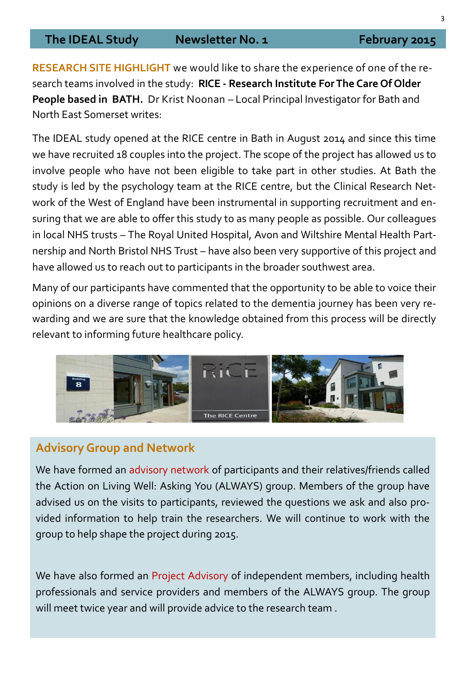**RESEARCH SITE HIGHLIGHT** we would like to share the experience of one of the research teams involved in the study: **RICE - Research Institute For The Care Of Older People based in BATH.** Dr Krist Noonan – Local Principal Investigator for Bath and North East Somerset writes:

The IDEAL study opened at the RICE centre in Bath in August 2014 and since this time we have recruited 18 couples into the project. The scope of the project has allowed us to involve people who have not been eligible to take part in other studies. At Bath the study is led by the psychology team at the RICE centre, but the Clinical Research Network of the West of England have been instrumental in supporting recruitment and ensuring that we are able to offer this study to as many people as possible. Our colleagues in local NHS trusts – The Royal United Hospital, Avon and Wiltshire Mental Health Partnership and North Bristol NHS Trust – have also been very supportive of this project and have allowed us to reach out to participants in the broader southwest area.

Many of our participants have commented that the opportunity to be able to voice their opinions on a diverse range of topics related to the dementia journey has been very rewarding and we are sure that the knowledge obtained from this process will be directly relevant to informing future healthcare policy.



## **Advisory Group and Network**

We have formed an advisory network of participants and their relatives/friends called the Action on Living Well: Asking You (ALWAYS) group. Members of the group have advised us on the visits to participants, reviewed the questions we ask and also provided information to help train the researchers. We will continue to work with the group to help shape the project during 2015.

We have also formed an Project Advisory of independent members, including health professionals and service providers and members of the ALWAYS group. The group will meet twice year and will provide advice to the research team .